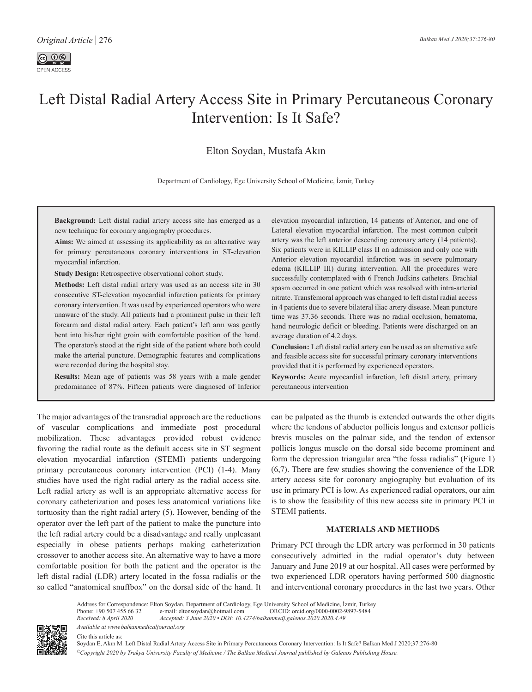# Left Distal Radial Artery Access Site in Primary Percutaneous Coronary Intervention: Is It Safe?

Elton [Soydan](https://orcid.org/0000-0002-9897-5484), [Mustafa](https://orcid.org/0000-0002-1850-9118) Akın

Department of Cardiology, Ege University School of Medicine, İzmir, Turkey

**Background:** Left distal radial artery access site has emerged as a new technique for coronary angiography procedures.

**Aims:** We aimed at assessing its applicability as an alternative way for primary percutaneous coronary interventions in ST-elevation myocardial infarction.

**Study Design:** Retrospective observational cohort study.

**Methods:** Left distal radial artery was used as an access site in 30 consecutive ST-elevation myocardial infarction patients for primary coronary intervention. It was used by experienced operators who were unaware of the study. All patients had a prominent pulse in their left forearm and distal radial artery. Each patient's left arm was gently bent into his/her right groin with comfortable position of the hand. The operator/s stood at the right side of the patient where both could make the arterial puncture. Demographic features and complications were recorded during the hospital stay.

**Results:** Mean age of patients was 58 years with a male gender predominance of 87%. Fifteen patients were diagnosed of Inferior elevation myocardial infarction, 14 patients of Anterior, and one of Lateral elevation myocardial infarction. The most common culprit artery was the left anterior descending coronary artery (14 patients). Six patients were in KILLIP class II on admission and only one with Anterior elevation myocardial infarction was in severe pulmonary edema (KILLIP III) during intervention. All the procedures were successfully contemplated with 6 French Judkins catheters. Brachial spasm occurred in one patient which was resolved with intra-arterial nitrate. Transfemoral approach was changed to left distal radial access in 4 patients due to severe bilateral iliac artery disease. Mean puncture time was 37.36 seconds. There was no radial occlusion, hematoma, hand neurologic deficit or bleeding. Patients were discharged on an average duration of 4.2 days.

**Conclusion:** Left distal radial artery can be used as an alternative safe and feasible access site for successful primary coronary interventions provided that it is performed by experienced operators.

**Keywords:** Acute myocardial infarction, left distal artery, primary percutaneous intervention

The major advantages of the transradial approach are the reductions of vascular complications and immediate post procedural mobilization. These advantages provided robust evidence favoring the radial route as the default access site in ST segment elevation myocardial infarction (STEMI) patients undergoing primary percutaneous coronary intervention (PCI) (1-4). Many studies have used the right radial artery as the radial access site. Left radial artery as well is an appropriate alternative access for coronary catheterization and poses less anatomical variations like tortuosity than the right radial artery (5). However, bending of the operator over the left part of the patient to make the puncture into the left radial artery could be a disadvantage and really unpleasant especially in obese patients perhaps making catheterization crossover to another access site. An alternative way to have a more comfortable position for both the patient and the operator is the left distal radial (LDR) artery located in the fossa radialis or the so called "anatomical snuffbox" on the dorsal side of the hand. It can be palpated as the thumb is extended outwards the other digits where the tendons of abductor pollicis longus and extensor pollicis brevis muscles on the palmar side, and the tendon of extensor pollicis longus muscle on the dorsal side become prominent and form the depression triangular area "the fossa radialis" (Figure 1) (6,7). There are few studies showing the convenience of the LDR artery access site for coronary angiography but evaluation of its use in primary PCI is low. As experienced radial operators, our aim is to show the feasibility of this new access site in primary PCI in STEMI patients.

# **MATERIALS AND METHODS**

Primary PCI through the LDR artery was performed in 30 patients consecutively admitted in the radial operator's duty between January and June 2019 at our hospital. All cases were performed by two experienced LDR operators having performed 500 diagnostic and interventional coronary procedures in the last two years. Other



Address for Correspondence: Elton Soydan, Department of Cardiology, Ege University School of Medicine, İzmir, Turkey<br>Phone: +90 507 455 66 32 e-mail: eltonsoydan@hotmail.com ORCID: orcid.org/0000-0002-9897-5484 Phone: +90 507 455 66 32 e-mail: eltonsoydan@hotmail.com ORCID: orcid.org/0000-0002-9897-5484<br>Received: 8 April 2020 Accepted: 3 June 2020 • DOI: 10.4274/balkanmedj.galenos.2020.2020.4.49 *Received: 8 April 2020 Accepted: 3 June 2020 • DOI: 10.4274/balkanmedj.galenos.2020.2020.4.49* 

*Available at www.balkanmedicaljournal.org* Cite this article as:

Soydan E, Akın M. Left Distal Radial Artery Access Site in Primary Percutaneous Coronary Intervention: Is It Safe? Balkan Med J 2020;37:276-80 *©Copyright 2020 by Trakya University Faculty of Medicine / The Balkan Medical Journal published by Galenos Publishing House.*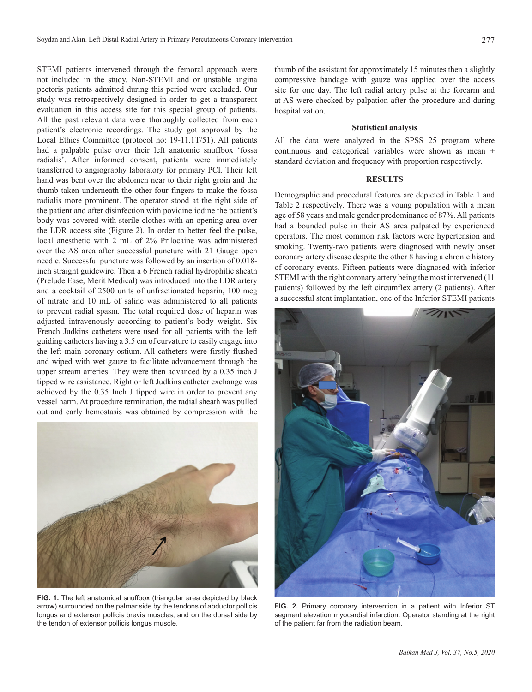STEMI patients intervened through the femoral approach were not included in the study. Non-STEMI and or unstable angina pectoris patients admitted during this period were excluded. Our study was retrospectively designed in order to get a transparent evaluation in this access site for this special group of patients. All the past relevant data were thoroughly collected from each patient's electronic recordings. The study got approval by the Local Ethics Committee (protocol no: 19-11.1T/51). All patients had a palpable pulse over their left anatomic snuffbox 'fossa radialis'. After informed consent, patients were immediately transferred to angiography laboratory for primary PCI. Their left hand was bent over the abdomen near to their right groin and the thumb taken underneath the other four fingers to make the fossa radialis more prominent. The operator stood at the right side of the patient and after disinfection with povidine iodine the patient's body was covered with sterile clothes with an opening area over the LDR access site (Figure 2). In order to better feel the pulse, local anesthetic with 2 mL of 2% Prilocaine was administered over the AS area after successful puncture with 21 Gauge open needle. Successful puncture was followed by an insertion of 0.018 inch straight guidewire. Then a 6 French radial hydrophilic sheath (Prelude Ease, Merit Medical) was introduced into the LDR artery and a cocktail of 2500 units of unfractionated heparin, 100 mcg of nitrate and 10 mL of saline was administered to all patients to prevent radial spasm. The total required dose of heparin was adjusted intravenously according to patient's body weight. Six French Judkins catheters were used for all patients with the left guiding catheters having a 3.5 cm of curvature to easily engage into the left main coronary ostium. All catheters were firstly flushed and wiped with wet gauze to facilitate advancement through the upper stream arteries. They were then advanced by a 0.35 inch J tipped wire assistance. Right or left Judkins catheter exchange was achieved by the 0.35 Inch J tipped wire in order to prevent any vessel harm. At procedure termination, the radial sheath was pulled out and early hemostasis was obtained by compression with the



**FIG. 1.** The left anatomical snuffbox (triangular area depicted by black arrow) surrounded on the palmar side by the tendons of abductor pollicis longus and extensor pollicis brevis muscles, and on the dorsal side by the tendon of extensor pollicis longus muscle.

thumb of the assistant for approximately 15 minutes then a slightly compressive bandage with gauze was applied over the access site for one day. The left radial artery pulse at the forearm and at AS were checked by palpation after the procedure and during hospitalization.

#### **Statistical analysis**

All the data were analyzed in the SPSS 25 program where continuous and categorical variables were shown as mean  $\pm$ standard deviation and frequency with proportion respectively.

## **RESULTS**

Demographic and procedural features are depicted in Table 1 and Table 2 respectively. There was a young population with a mean age of 58 years and male gender predominance of 87%. All patients had a bounded pulse in their AS area palpated by experienced operators. The most common risk factors were hypertension and smoking. Twenty-two patients were diagnosed with newly onset coronary artery disease despite the other 8 having a chronic history of coronary events. Fifteen patients were diagnosed with inferior STEMI with the right coronary artery being the most intervened (11 patients) followed by the left circumflex artery (2 patients). After a successful stent implantation, one of the Inferior STEMI patients



**FIG. 2.** Primary coronary intervention in a patient with Inferior ST segment elevation myocardial infarction. Operator standing at the right of the patient far from the radiation beam.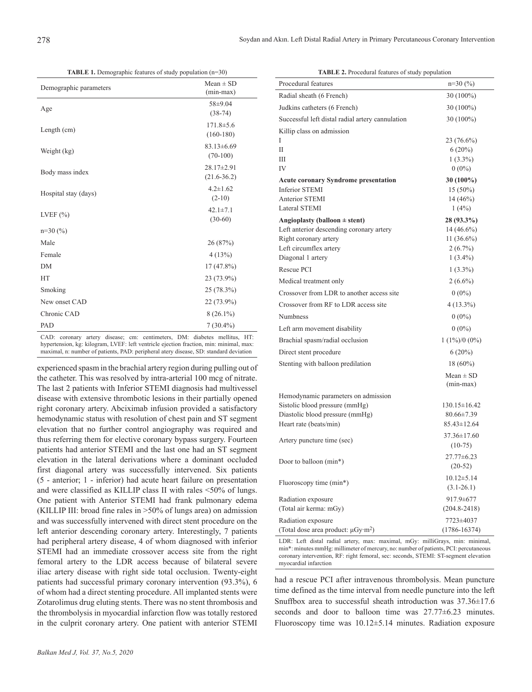278

**TABLE 1.** Demographic features of study population (n=30)

| Demographic parameters | $Mean \pm SD$<br>$(min-max)$        |
|------------------------|-------------------------------------|
| Age                    | $58 + 9.04$<br>$(38-74)$            |
| Length (cm)            | $171.8 \pm 5.6$<br>$(160-180)$      |
| Weight (kg)            | $83.13 \pm 6.69$<br>$(70-100)$      |
| Body mass index        | $28.17 \pm 2.91$<br>$(21.6 - 36.2)$ |
| Hospital stay (days)   | $4.2 \pm 1.62$<br>$(2-10)$          |
| LVEF $(\% )$           | $42.1 \pm 7.1$<br>$(30-60)$         |
| $n=30(%)$              |                                     |
| Male                   | 26 (87%)                            |
| Female                 | 4(13%)                              |
| <b>DM</b>              | $17(47.8\%)$                        |
| <b>HT</b>              | 23 (73.9%)                          |
| Smoking                | 25 (78.3%)                          |
| New onset CAD          | 22 (73.9%)                          |
| Chronic CAD            | $8(26.1\%)$                         |
| PAD                    | $7(30.4\%)$                         |

CAD: coronary artery disease; cm: centimeters, DM: diabetes mellitus, HT: hypertension, kg: kilogram, LVEF: left ventricle ejection fraction, min: minimal, max: maximal, n: number of patients, PAD: peripheral atery disease, SD: standard deviation

experienced spasm in the brachial artery region during pulling out of the catheter. This was resolved by intra-arterial 100 mcg of nitrate. The last 2 patients with Inferior STEMI diagnosis had multivessel disease with extensive thrombotic lesions in their partially opened right coronary artery. Abciximab infusion provided a satisfactory hemodynamic status with resolution of chest pain and ST segment elevation that no further control angiography was required and thus referring them for elective coronary bypass surgery. Fourteen patients had anterior STEMI and the last one had an ST segment elevation in the lateral derivations where a dominant occluded first diagonal artery was successfully intervened. Six patients (5 - anterior; 1 - inferior) had acute heart failure on presentation and were classified as KILLIP class II with rales <50% of lungs. One patient with Anterior STEMI had frank pulmonary edema (KILLIP III: broad fine rales in >50% of lungs area) on admission and was successfully intervened with direct stent procedure on the left anterior descending coronary artery. Interestingly, 7 patients had peripheral artery disease, 4 of whom diagnosed with inferior STEMI had an immediate crossover access site from the right femoral artery to the LDR access because of bilateral severe iliac artery disease with right side total occlusion. Twenty-eight patients had successful primary coronary intervention (93.3%), 6 of whom had a direct stenting procedure. All implanted stents were Zotarolimus drug eluting stents. There was no stent thrombosis and the thrombolysis in myocardial infarction flow was totally restored in the culprit coronary artery. One patient with anterior STEMI

| <b>TABLE 2.</b> Procedural features of study population |                              |
|---------------------------------------------------------|------------------------------|
| Procedural features                                     | $n=30$ (%)                   |
| Radial sheath (6 French)                                | 30 (100%)                    |
| Judkins catheters (6 French)                            | 30 (100%)                    |
| Successful left distal radial artery cannulation        | 30 (100%)                    |
| Killip class on admission                               |                              |
| L                                                       | 23 (76.6%)                   |
| П                                                       | $6(20\%)$                    |
| Ш                                                       | $1(3.3\%)$                   |
| IV                                                      | $0(0\%)$                     |
| <b>Acute coronary Syndrome presentation</b>             | $30(100\%)$                  |
| <b>Inferior STEMI</b>                                   | $15(50\%)$                   |
| <b>Anterior STEMI</b>                                   | $14(46\%)$                   |
| Lateral STEMI                                           | 1(4%)                        |
| Angioplasty (balloon $\pm$ stent)                       | 28 (93.3%)                   |
| Left anterior descending coronary artery                | $14(46.6\%)$                 |
| Right coronary artery<br>Left circumflex artery         | 11 $(36.6\%)$                |
| Diagonal 1 artery                                       | $2(6.7\%)$<br>$1(3.4\%)$     |
| Rescue PCI                                              |                              |
|                                                         | $1(3.3\%)$                   |
| Medical treatment only                                  | $2(6.6\%)$                   |
| Crossover from LDR to another access site               | $0(0\%)$                     |
| Crossover from RF to LDR access site                    | 4 (13.3%)                    |
| <b>Numbness</b>                                         | $0(0\%)$                     |
| Left arm movement disability                            | $0(0\%)$                     |
| Brachial spasm/radial occlusion                         | $1(1\%)/0(0\%)$              |
| Direct stent procedure                                  | $6(20\%)$                    |
| Stenting with balloon predilation                       | $18(60\%)$                   |
|                                                         | $Mean \pm SD$<br>$(min-max)$ |
| Hemodynamic parameters on admission                     |                              |
| Sistolic blood pressure (mmHg)                          | $130.15 \pm 16.42$           |
| Diastolic blood pressure (mmHg)                         | 80.66±7.39                   |
| Heart rate (beats/min)                                  | $85.43 \pm 12.64$            |
| Artery puncture time (sec)                              | 37.36±17.60                  |
|                                                         | $(10-75)$                    |
| Door to balloon (min*)                                  | 27.77±6.23                   |
|                                                         | $(20-52)$                    |
| Fluoroscopy time (min*)                                 | $10.12 \pm 5.14$             |
|                                                         | $(3.1 - 26.1)$               |
| Radiation exposure                                      | 917.9±677                    |
| (Total air kerma: mGy)                                  | $(204.8 - 2418)$             |
| Radiation exposure                                      | 7723±4037                    |
| (Total dose area product: µGy·m <sup>2</sup> )          | $(1786 - 16374)$             |

LDR: Left distal radial artery, max: maximal, mGy: milliGrays, min: minimal, min\*: minutes mmHg: millimeter of mercury, no: number of patients, PCI: percutaneous coronary intervention, RF: right femoral, sec: seconds, STEMI: ST-segment elevation myocardial infarction

had a rescue PCI after intravenous thrombolysis. Mean puncture time defined as the time interval from needle puncture into the left Snuffbox area to successful sheath introduction was 37.36±17.6 seconds and door to balloon time was  $27.77\pm6.23$  minutes. Fluoroscopy time was 10.12±5.14 minutes. Radiation exposure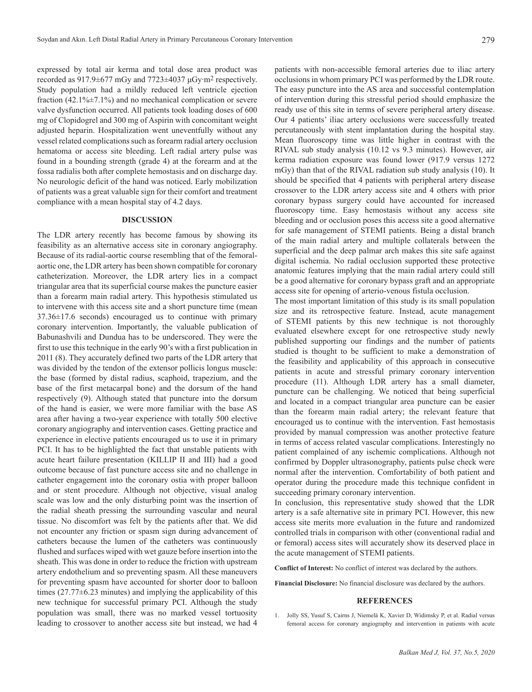expressed by total air kerma and total dose area product was recorded as 917.9±677 mGy and 7723±4037 μGy∙m2 respectively. Study population had a mildly reduced left ventricle ejection fraction  $(42.1\% \pm 7.1\%)$  and no mechanical complication or severe valve dysfunction occurred. All patients took loading doses of 600 mg of Clopidogrel and 300 mg of Aspirin with concomitant weight adjusted heparin. Hospitalization went uneventfully without any vessel related complications such as forearm radial artery occlusion hematoma or access site bleeding. Left radial artery pulse was found in a bounding strength (grade 4) at the forearm and at the fossa radialis both after complete hemostasis and on discharge day. No neurologic deficit of the hand was noticed. Early mobilization of patients was a great valuable sign for their comfort and treatment compliance with a mean hospital stay of 4.2 days.

# **DISCUSSION**

The LDR artery recently has become famous by showing its feasibility as an alternative access site in coronary angiography. Because of its radial-aortic course resembling that of the femoralaortic one, the LDR artery has been shown compatible for coronary catheterization. Moreover, the LDR artery lies in a compact triangular area that its superficial course makes the puncture easier than a forearm main radial artery. This hypothesis stimulated us to intervene with this access site and a short puncture time (mean 37.36±17.6 seconds) encouraged us to continue with primary coronary intervention. Importantly, the valuable publication of Babunashvili and Dundua has to be underscored. They were the first to use this technique in the early 90's with a first publication in 2011 (8). They accurately defined two parts of the LDR artery that was divided by the tendon of the extensor pollicis longus muscle: the base (formed by distal radius, scaphoid, trapezium, and the base of the first metacarpal bone) and the dorsum of the hand respectively (9). Although stated that puncture into the dorsum of the hand is easier, we were more familiar with the base AS area after having a two-year experience with totally 500 elective coronary angiography and intervention cases. Getting practice and experience in elective patients encouraged us to use it in primary PCI. It has to be highlighted the fact that unstable patients with acute heart failure presentation (KILLIP II and III) had a good outcome because of fast puncture access site and no challenge in catheter engagement into the coronary ostia with proper balloon and or stent procedure. Although not objective, visual analog scale was low and the only disturbing point was the insertion of the radial sheath pressing the surrounding vascular and neural tissue. No discomfort was felt by the patients after that. We did not encounter any friction or spasm sign during advancement of catheters because the lumen of the catheters was continuously flushed and surfaces wiped with wet gauze before insertion into the sheath. This was done in order to reduce the friction with upstream artery endothelium and so preventing spasm. All these maneuvers for preventing spasm have accounted for shorter door to balloon times (27.77±6.23 minutes) and implying the applicability of this new technique for successful primary PCI. Although the study population was small, there was no marked vessel tortuosity leading to crossover to another access site but instead, we had 4

patients with non-accessible femoral arteries due to iliac artery occlusions in whom primary PCI was performed by the LDR route. The easy puncture into the AS area and successful contemplation of intervention during this stressful period should emphasize the ready use of this site in terms of severe peripheral artery disease. Our 4 patients' iliac artery occlusions were successfully treated percutaneously with stent implantation during the hospital stay. Mean fluoroscopy time was little higher in contrast with the RIVAL sub study analysis (10.12 vs 9.3 minutes). However, air kerma radiation exposure was found lower (917.9 versus 1272 mGy) than that of the RIVAL radiation sub study analysis (10). It should be specified that 4 patients with peripheral artery disease crossover to the LDR artery access site and 4 others with prior coronary bypass surgery could have accounted for increased fluoroscopy time. Easy hemostasis without any access site bleeding and or occlusion poses this access site a good alternative for safe management of STEMI patients. Being a distal branch of the main radial artery and multiple collaterals between the superficial and the deep palmar arch makes this site safe against digital ischemia. No radial occlusion supported these protective anatomic features implying that the main radial artery could still be a good alternative for coronary bypass graft and an appropriate access site for opening of arterio-venous fistula occlusion.

The most important limitation of this study is its small population size and its retrospective feature. Instead, acute management of STEMI patients by this new technique is not thoroughly evaluated elsewhere except for one retrospective study newly published supporting our findings and the number of patients studied is thought to be sufficient to make a demonstration of the feasibility and applicability of this approach in consecutive patients in acute and stressful primary coronary intervention procedure (11). Although LDR artery has a small diameter, puncture can be challenging. We noticed that being superficial and located in a compact triangular area puncture can be easier than the forearm main radial artery; the relevant feature that encouraged us to continue with the intervention. Fast hemostasis provided by manual compression was another protective feature in terms of access related vascular complications. Interestingly no patient complained of any ischemic complications. Although not confirmed by Doppler ultrasonography, patients pulse check were normal after the intervention. Comfortability of both patient and operator during the procedure made this technique confident in succeeding primary coronary intervention.

In conclusion, this representative study showed that the LDR artery is a safe alternative site in primary PCI. However, this new access site merits more evaluation in the future and randomized controlled trials in comparison with other (conventional radial and or femoral) access sites will accurately show its deserved place in the acute management of STEMI patients.

**Conflict of Interest:** No conflict of interest was declared by the authors.

**Financial Disclosure:** No financial disclosure was declared by the authors.

### **REFERENCES**

1. Jolly SS, Yusuf S, Cairns J, Niemelä K, Xavier D, Widimsky P, et al. Radial versus femoral access for coronary angiography and intervention in patients with acute